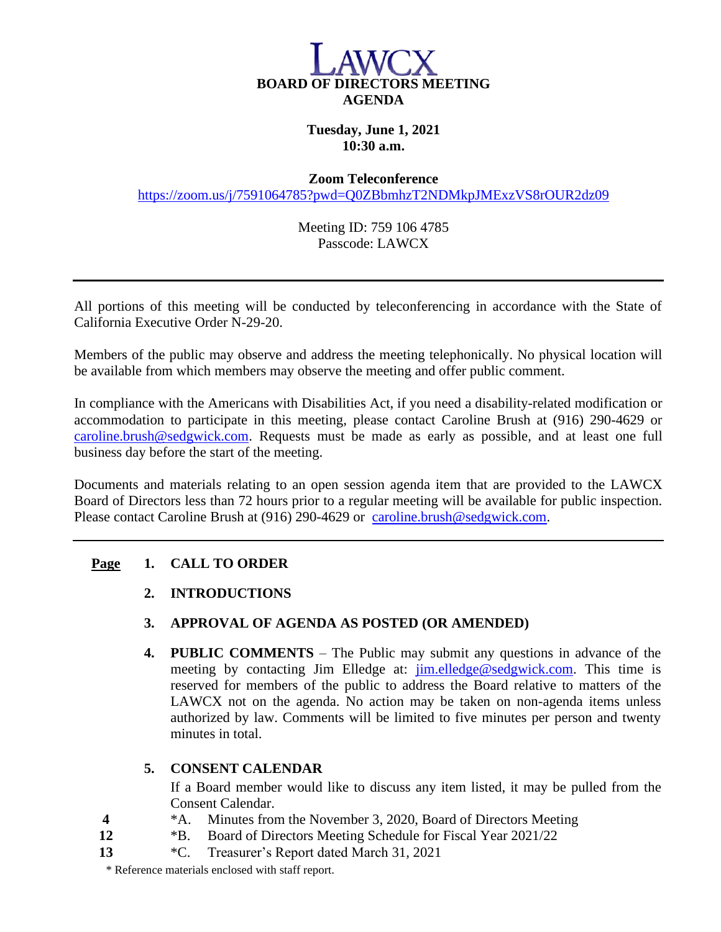

## **Tuesday, June 1, 2021 10:30 a.m.**

#### **Zoom Teleconference**

<https://zoom.us/j/7591064785?pwd=Q0ZBbmhzT2NDMkpJMExzVS8rOUR2dz09>

Meeting ID: 759 106 4785 Passcode: LAWCX

All portions of this meeting will be conducted by teleconferencing in accordance with the State of California Executive Order N-29-20.

Members of the public may observe and address the meeting telephonically. No physical location will be available from which members may observe the meeting and offer public comment.

In compliance with the Americans with Disabilities Act, if you need a disability-related modification or accommodation to participate in this meeting, please contact Caroline Brush at (916) 290-4629 or [caroline.brush@sedgwick.com.](mailto:caroline.brush@sedgwick.com) Requests must be made as early as possible, and at least one full business day before the start of the meeting.

Documents and materials relating to an open session agenda item that are provided to the LAWCX Board of Directors less than 72 hours prior to a regular meeting will be available for public inspection. Please contact Caroline Brush at (916) 290-4629 or [caroline.brush@sedgwick.com.](mailto:caroline.brush@sedgwick.com)

## **Page 1. CALL TO ORDER**

- **2. INTRODUCTIONS**
- **3. APPROVAL OF AGENDA AS POSTED (OR AMENDED)**
- **4. PUBLIC COMMENTS** The Public may submit any questions in advance of the meeting by contacting Jim Elledge at: [jim.elledge@sedgwick.com.](mailto:jim.elledge@sedgwick.com) This time is reserved for members of the public to address the Board relative to matters of the LAWCX not on the agenda. No action may be taken on non-agenda items unless authorized by law. Comments will be limited to five minutes per person and twenty minutes in total.

### **5. CONSENT CALENDAR**

If a Board member would like to discuss any item listed, it may be pulled from the Consent Calendar.

- **4** \*A. Minutes from the November 3, 2020, Board of Directors Meeting
- **12** \*B. Board of Directors Meeting Schedule for Fiscal Year 2021/22
- **13** \*C. Treasurer's Report dated March 31, 2021

\* Reference materials enclosed with staff report.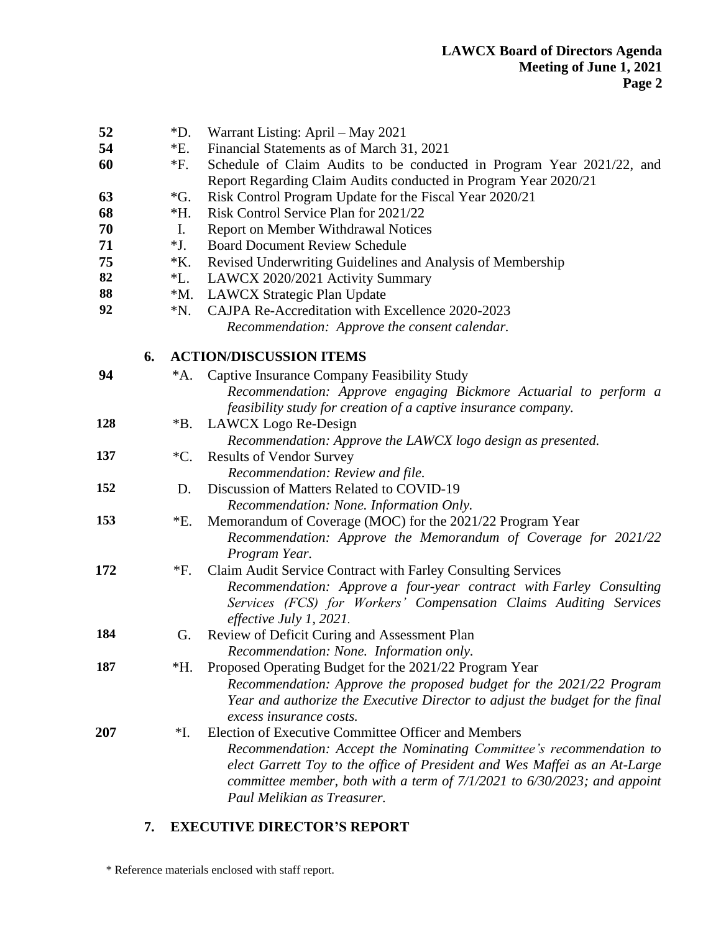|--|--|

| 52<br>54<br>60 |    | $*D.$<br>$E$ .<br>$*F.$ | Warrant Listing: April – May 2021<br>Financial Statements as of March 31, 2021<br>Schedule of Claim Audits to be conducted in Program Year 2021/22, and<br>Report Regarding Claim Audits conducted in Program Year 2020/21                                                                                               |
|----------------|----|-------------------------|--------------------------------------------------------------------------------------------------------------------------------------------------------------------------------------------------------------------------------------------------------------------------------------------------------------------------|
| 63             |    | $\mathcal{G}$ .         | Risk Control Program Update for the Fiscal Year 2020/21                                                                                                                                                                                                                                                                  |
| 68             |    | *Н.                     | Risk Control Service Plan for 2021/22                                                                                                                                                                                                                                                                                    |
| 70             |    | Ι.                      | Report on Member Withdrawal Notices                                                                                                                                                                                                                                                                                      |
| 71             |    | $*J.$                   | <b>Board Document Review Schedule</b>                                                                                                                                                                                                                                                                                    |
| 75             |    | $*K$ .                  | Revised Underwriting Guidelines and Analysis of Membership                                                                                                                                                                                                                                                               |
| 82             |    | $^*$ L.                 | LAWCX 2020/2021 Activity Summary                                                                                                                                                                                                                                                                                         |
| 88             |    | $^*M.$                  | LAWCX Strategic Plan Update                                                                                                                                                                                                                                                                                              |
| 92             |    | $^*N$ .                 | CAJPA Re-Accreditation with Excellence 2020-2023<br>Recommendation: Approve the consent calendar.                                                                                                                                                                                                                        |
|                | 6. |                         | <b>ACTION/DISCUSSION ITEMS</b>                                                                                                                                                                                                                                                                                           |
| 94             |    | *A.                     | Captive Insurance Company Feasibility Study<br>Recommendation: Approve engaging Bickmore Actuarial to perform a<br>feasibility study for creation of a captive insurance company.                                                                                                                                        |
| 128            |    | $*B.$                   | LAWCX Logo Re-Design                                                                                                                                                                                                                                                                                                     |
|                |    |                         | Recommendation: Approve the LAWCX logo design as presented.                                                                                                                                                                                                                                                              |
| 137            |    | $^{\ast}C.$             | <b>Results of Vendor Survey</b>                                                                                                                                                                                                                                                                                          |
| 152            |    |                         | Recommendation: Review and file.<br>Discussion of Matters Related to COVID-19                                                                                                                                                                                                                                            |
|                |    | D.                      |                                                                                                                                                                                                                                                                                                                          |
| 153            |    | *E.                     | Recommendation: None. Information Only.                                                                                                                                                                                                                                                                                  |
|                |    |                         | Memorandum of Coverage (MOC) for the 2021/22 Program Year<br>Recommendation: Approve the Memorandum of Coverage for 2021/22<br>Program Year.                                                                                                                                                                             |
| 172            |    | $*F.$                   | Claim Audit Service Contract with Farley Consulting Services<br>Recommendation: Approve a four-year contract with Farley Consulting<br>Services (FCS) for Workers' Compensation Claims Auditing Services<br>effective July 1, 2021.                                                                                      |
| 184            |    | G.                      | Review of Deficit Curing and Assessment Plan<br>Recommendation: None. Information only.                                                                                                                                                                                                                                  |
| 187            |    | *Н.                     | Proposed Operating Budget for the 2021/22 Program Year<br>Recommendation: Approve the proposed budget for the 2021/22 Program<br>Year and authorize the Executive Director to adjust the budget for the final<br>excess insurance costs.                                                                                 |
| 207            |    | $*$ I.                  | Election of Executive Committee Officer and Members<br>Recommendation: Accept the Nominating Committee's recommendation to<br>elect Garrett Toy to the office of President and Wes Maffei as an At-Large<br>committee member, both with a term of $7/1/2021$ to $6/30/2023$ ; and appoint<br>Paul Melikian as Treasurer. |

# **7. EXECUTIVE DIRECTOR'S REPORT**

\* Reference materials enclosed with staff report.